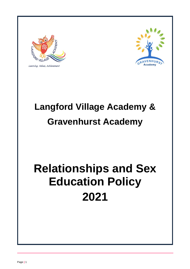

Learning, Values, Achievement



## **Langford Village Academy & Gravenhurst Academy**

# **Relationships and Sex Education Policy 2021**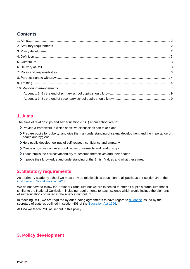## **Contents**

## <span id="page-1-0"></span>**1. Aims**

The aims of relationships and sex education (RSE) at our school are to:

- Provide a framework in which sensitive discussions can take place
- Prepare pupils for puberty, and give them an understanding of sexual development and the importance of health and hygiene
- Help pupils develop feelings of self-respect, confidence and empathy
- Create a positive culture around issues of sexuality and relationships
- Teach pupils the correct vocabulary to describe themselves and their bodies
- Improve their knowledge and understanding of the British Values and what these mean.

## <span id="page-1-1"></span>**2. Statutory requirements**

As a primary academy school we must provide relationships education to all pupils as per section 34 of the [Children and Social work act 2017.](http://www.legislation.gov.uk/ukpga/2017/16/section/34/enacted)

We do not have to follow the National Curriculum but we are expected to offer all pupils a curriculum that is similar to the National Curriculum including requirements to teach science which would include the elements of sex education contained in the science curriculum.

In teaching RSE, we are required by our funding agreements to have regard to [guidance](https://www.gov.uk/government/consultations/relationships-and-sex-education-and-health-education) issued by the secretary of state as outlined in section 403 of the **Education Act 1996**.

<span id="page-1-2"></span>At LVA we teach RSE as set out in this policy.

## **3. Policy development**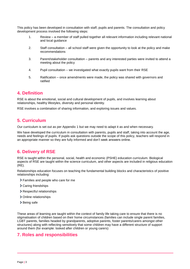This policy has been developed in consultation with staff, pupils and parents. The consultation and policy development process involved the following steps:

- 1. Review a member of staff pulled together all relevant information including relevant national and local guidance
- 2. Staff consultation all school staff were given the opportunity to look at the policy and make recommendations
- 3. Parent/stakeholder consultation parents and any interested parties were invited to attend a meeting about the policy
- 4. Pupil consultation we investigated what exactly pupils want from their RSE
- 5. Ratification once amendments were made, the policy was shared with governors and ratified

#### <span id="page-2-0"></span>**4. Definition**

RSE is about the emotional, social and cultural development of pupils, and involves learning about relationships, healthy lifestyles, diversity and personal identity.

RSE involves a combination of sharing information, and exploring issues and values.

### <span id="page-2-1"></span>**5. Curriculum**

Our curriculum is set out as per Appendix 1 but we may need to adapt it as and when necessary.

We have developed the curriculum in consultation with parents, pupils and staff, taking into account the age, needs and feelings of pupils. If pupils ask questions outside the scope of this policy, teachers will respond in an appropriate manner so they are fully informed and don't seek answers online.

## <span id="page-2-2"></span>**6. Delivery of RSE**

RSE is taught within the personal, social, health and economic (PSHE) education curriculum. Biological aspects of RSE are taught within the science curriculum, and other aspects are included in religious education (RE).

Relationships education focuses on teaching the fundamental building blocks and characteristics of positive relationships including:

- Families and people who care for me
- > Caring friendships
- > Respectful relationships
- > Online relationships
- > Being safe

These areas of learning are taught within the context of family life taking care to ensure that there is no stigmatisation of children based on their home circumstances (families can include single parent families, LGBT parents, families headed by grandparents, adoptive parents, foster parents/carers amongst other structures) along with reflecting sensitively that some children may have a different structure of support around them (for example: looked after children or young carers)

#### <span id="page-2-3"></span>**7. Roles and responsibilities**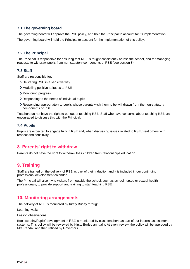#### **7.1 The governing board**

The governing board will approve the RSE policy, and hold the Principal to account for its implementation. The governing board will hold the Principal to account for the implementation of this policy.

#### **7.2 The Principal**

The Principal is responsible for ensuring that RSE is taught consistently across the school, and for managing requests to withdraw pupils from non-statutory components of RSE (see section 8).

#### **7.3 Staff**

Staff are responsible for:

- Delivering RSE in a sensitive way
- Modelling positive attitudes to RSE
- Monitoring progress
- Responding to the needs of individual pupils
- Responding appropriately to pupils whose parents wish them to be withdrawn from the non-statutory components of RSE

Teachers do not have the right to opt out of teaching RSE. Staff who have concerns about teaching RSE are encouraged to discuss this with the Principal.

#### **7.4 Pupils**

Pupils are expected to engage fully in RSE and, when discussing issues related to RSE, treat others with respect and sensitivity.

#### <span id="page-3-0"></span>**8. Parents' right to withdraw**

Parents do not have the right to withdraw their children from relationships education.

## <span id="page-3-1"></span>**9. Training**

Staff are trained on the delivery of RSE as part of their induction and it is included in our continuing professional development calendar.

The Principal will also invite visitors from outside the school, such as school nurses or sexual health professionals, to provide support and training to staff teaching RSE.

## <span id="page-3-2"></span>**10. Monitoring arrangements**

The delivery of RSE is monitored by Kirsty Burley through:

Learning walks

Lesson observations

Book scrutinyPupils' development in RSE is monitored by class teachers as part of our internal assessment systems. This policy will be reviewed by Kirsty Burley annually. At every review, the policy will be approved by Mrs Randall and then ratified by Governors.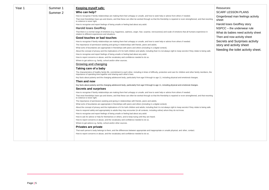| Year 1 | Summer 1 | Keeping myself safe:                                                                                                                                                                                                                           | Resources:                         |
|--------|----------|------------------------------------------------------------------------------------------------------------------------------------------------------------------------------------------------------------------------------------------------|------------------------------------|
|        | Summer 2 | Who can help?                                                                                                                                                                                                                                  | <b>SCARF LESSON PLANS</b>          |
|        |          | How to recognise if family relationships are making them feel unhappy or unsafe, and how to seek help or advice from others if needed.                                                                                                         | Gingerbread man feelings activity  |
|        |          | That most friendships have ups and downs, and that these can often be worked through so that the friendship is repaired or even strengthened, and that resorting<br>to violence is never right.                                                | sheet                              |
|        |          | How to recognise and report feelings of being unsafe or feeling bad about any adult.                                                                                                                                                           | Harold loses Geoffrey story        |
|        |          | <b>Harold loses Geoffrey</b>                                                                                                                                                                                                                   | NSPCC - the underwear rule         |
|        |          | That there is a normal range of emotions (e.g. happiness, sadness, anger, fear, surprise, nervousness) and scale of emotions that all humans experience in<br>relation to different experiences and situations.                                | What do babies need activity sheet |
|        |          | Good touches or bad touches                                                                                                                                                                                                                    | Then and now activity sheet        |
|        |          | How to recognise if family relationships are making them feel unhappy or unsafe, and how to seek help or advice from others if needed.                                                                                                         | Secrets and Surprises activity     |
|        |          | The importance of permission-seeking and giving in relationships with friends, peers and adults.                                                                                                                                               | story and activity sheet           |
|        |          | What sorts of boundaries are appropriate in friendships with peers and others (including in a digital context).                                                                                                                                |                                    |
|        |          | About the concept of privacy and the implications of it for both children and adults; including that it is not always right to keep secrets if they relate to being safe.                                                                      | Needing the toilet activity sheet. |
|        |          | How to recognise and report feelings of being unsafe or feeling bad about any adult.                                                                                                                                                           |                                    |
|        |          | How to report concerns or abuse, and the vocabulary and confidence needed to do so.                                                                                                                                                            |                                    |
|        |          | Where to get advice e.g. family, school and/or other sources.                                                                                                                                                                                  |                                    |
|        |          | Growing and changing                                                                                                                                                                                                                           |                                    |
|        |          | Taking care of a baby                                                                                                                                                                                                                          |                                    |
|        |          | The characteristics of healthy family life, commitment to each other, including in times of difficulty, protection and care for children and other family members, the<br>importance of spending time together and sharing each other's lives. |                                    |
|        |          | Key facts about puberty and the changing adolescent body, particularly from age 9 through to age 11, including physical and emotional changes.                                                                                                 |                                    |
|        |          | Then and now                                                                                                                                                                                                                                   |                                    |
|        |          | Key facts about puberty and the changing adolescent body, particularly from age 9 through to age 11, including physical and emotional changes.                                                                                                 |                                    |
|        |          | Secrets and surprises                                                                                                                                                                                                                          |                                    |
|        |          | How to recognise if family relationships are making them feel unhappy or unsafe, and how to seek help or advice from others if needed.                                                                                                         |                                    |
|        |          | That most friendships have ups and downs, and that these can often be worked through so that the friendship is repaired or even strengthened, and that resorting<br>to violence is never right.                                                |                                    |
|        |          | The importance of permission-seeking and giving in relationships with friends, peers and adults.                                                                                                                                               |                                    |
|        |          | What sorts of boundaries are appropriate in friendships with peers and others (including in a digital context).                                                                                                                                |                                    |
|        |          | About the concept of privacy and the implications of it for both children and adults; including that it is not always right to keep secrets if they relate to being safe.                                                                      |                                    |
|        |          | How to respond safely and appropriately to adults they may encounter (in all contexts, including online) whom they do not know.                                                                                                                |                                    |
|        |          | How to recognise and report feelings of being unsafe or feeling bad about any adult.                                                                                                                                                           |                                    |
|        |          | How to ask for advice or help for themselves or others, and to keep trying until they are heard.                                                                                                                                               |                                    |
|        |          | How to report concerns or abuse, and the vocabulary and confidence needed to do so.                                                                                                                                                            |                                    |
|        |          | Where to get advice e.g. family, school and/or other sources.                                                                                                                                                                                  |                                    |
|        |          | Privates are private                                                                                                                                                                                                                           |                                    |
|        |          | That each person's body belongs to them, and the differences between appropriate and inappropriate or unsafe physical, and other, contact.                                                                                                     |                                    |
|        |          | How to report concerns or abuse, and the vocabulary and confidence needed to do so.                                                                                                                                                            |                                    |
|        |          |                                                                                                                                                                                                                                                |                                    |
|        |          |                                                                                                                                                                                                                                                |                                    |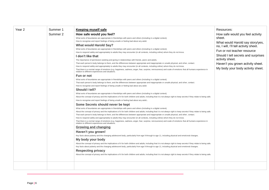| Year 2 | Summer 1 | <b>Keeping myself safe</b>                                                                                                                                                                                                                                                                                                                                                                                                                                                                                                                                                                                                                                                                                                                                                                                                                                                                                                                                                                                                                                                                                                                                                                                                                                                                                                                                                                                                                                                                                                                                                                                                                                                                                                                                                                                                                                                                                                                                                                                                                                                                                                                                                                                                                                                                                                                                                                                                                                                                                                                                                                                                                                                                                                                                                                                                                                                                                                                                                                                                                                                                                                                                                                                                                                                                                                                                                                                                                                                                                                                             | Resources:                                                                                                                                                                                                                                                                                 |
|--------|----------|--------------------------------------------------------------------------------------------------------------------------------------------------------------------------------------------------------------------------------------------------------------------------------------------------------------------------------------------------------------------------------------------------------------------------------------------------------------------------------------------------------------------------------------------------------------------------------------------------------------------------------------------------------------------------------------------------------------------------------------------------------------------------------------------------------------------------------------------------------------------------------------------------------------------------------------------------------------------------------------------------------------------------------------------------------------------------------------------------------------------------------------------------------------------------------------------------------------------------------------------------------------------------------------------------------------------------------------------------------------------------------------------------------------------------------------------------------------------------------------------------------------------------------------------------------------------------------------------------------------------------------------------------------------------------------------------------------------------------------------------------------------------------------------------------------------------------------------------------------------------------------------------------------------------------------------------------------------------------------------------------------------------------------------------------------------------------------------------------------------------------------------------------------------------------------------------------------------------------------------------------------------------------------------------------------------------------------------------------------------------------------------------------------------------------------------------------------------------------------------------------------------------------------------------------------------------------------------------------------------------------------------------------------------------------------------------------------------------------------------------------------------------------------------------------------------------------------------------------------------------------------------------------------------------------------------------------------------------------------------------------------------------------------------------------------------------------------------------------------------------------------------------------------------------------------------------------------------------------------------------------------------------------------------------------------------------------------------------------------------------------------------------------------------------------------------------------------------------------------------------------------------------------------------------------------|--------------------------------------------------------------------------------------------------------------------------------------------------------------------------------------------------------------------------------------------------------------------------------------------|
|        | Summer 2 | How safe would you feel?<br>What sorts of boundaries are appropriate in friendships with peers and others (including in a digital context).<br>How to recognise and report feelings of being unsafe or feeling bad about any adult.<br><b>What would Harold Say?</b><br>What sorts of boundaries are appropriate in friendships with peers and others (including in a digital context).<br>How to respond safely and appropriately to adults they may encounter (in all contexts, including online) whom they do not know.<br>I don't like that<br>The importance of permission-seeking and giving in relationships with friends, peers and adults.<br>That each person's body belongs to them, and the differences between appropriate and inappropriate or unsafe physical, and other, contact.<br>How to respond safely and appropriately to adults they may encounter (in all contexts, including online) whom they do not know.<br>That there is a normal range of emotions (e.g. happiness, sadness, anger, fear, surprise, nervousness) and scale of emotions that all humans experience in<br>relation to different experiences and situations.<br>Fun or not<br>What sorts of boundaries are appropriate in friendships with peers and others (including in a digital context).<br>That each person's body belongs to them, and the differences between appropriate and inappropriate or unsafe physical, and other, contact.<br>How to recognise and report feelings of being unsafe or feeling bad about any adult.<br>Should I tell?<br>What sorts of boundaries are appropriate in friendships with peers and others (including in a digital context).<br>About the concept of privacy and the implications of it for both children and adults; including that it is not always right to keep secrets if they relate to being safe.<br>How to recognise and report feelings of being unsafe or feeling bad about any adult.<br>Some Secrets should never be kept<br>What sorts of boundaries are appropriate in friendships with peers and others (including in a digital context).<br>About the concept of privacy and the implications of it for both children and adults; including that it is not always right to keep secrets if they relate to being safe.<br>That each person's body belongs to them, and the differences between appropriate and inappropriate or unsafe physical, and other, contact.<br>How to respond safely and appropriately to adults they may encounter (in all contexts, including online) whom they do not know.<br>That there is a normal range of emotions (e.g. happiness, sadness, anger, fear, surprise, nervousness) and scale of emotions that all humans experience in<br>relation to different experiences and situations.<br><b>Growing and changing</b><br>Haven't you grown!<br>Key facts about puberty and the changing adolescent body, particularly from age 9 through to age 11, including physical and emotional changes.<br>My body your body<br>About the concept of privacy and the implications of it for both children and adults; including that it is not always right to keep secrets if they relate to being safe.<br>Key facts about puberty and the changing adolescent body, particularly from age 9 through to age 11, including physical and emotional changes.<br><b>Respecting privacy</b><br>About the concept of privacy and the implications of it for both children and adults; including that it is not always right to keep secrets if they relate to being safe. | How safe would you feel activity<br>sheet.<br>What would Harold say story/yes,<br>no, I will, I'll tell activity sheet.<br>Fun or not teacher resource<br>Should I tell secrets and surprises<br>activity sheet.<br>Haven't you grown activity sheet.<br>My body your body activity sheet. |
|        |          |                                                                                                                                                                                                                                                                                                                                                                                                                                                                                                                                                                                                                                                                                                                                                                                                                                                                                                                                                                                                                                                                                                                                                                                                                                                                                                                                                                                                                                                                                                                                                                                                                                                                                                                                                                                                                                                                                                                                                                                                                                                                                                                                                                                                                                                                                                                                                                                                                                                                                                                                                                                                                                                                                                                                                                                                                                                                                                                                                                                                                                                                                                                                                                                                                                                                                                                                                                                                                                                                                                                                                        |                                                                                                                                                                                                                                                                                            |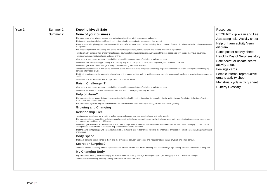| Year 3 | Summer 1 | <b>Keeping Myself Safe</b>                                                                                                                                                                                                                   | Resources:                                            |
|--------|----------|----------------------------------------------------------------------------------------------------------------------------------------------------------------------------------------------------------------------------------------------|-------------------------------------------------------|
|        | Summer 2 | None of your business                                                                                                                                                                                                                        | CEOP film clip - Kim and Lee                          |
|        |          | The importance of permission-seeking and giving in relationships with friends, peers and adults.                                                                                                                                             | Assessing risks Activity sheet                        |
|        |          | That people sometimes behave differently online, including by pretending to be someone they are not.                                                                                                                                         |                                                       |
|        |          | That the same principles apply to online relationships as to face-to-face relationships, including the importance of respect for others online including when we are<br>anonymous.                                                           | Help or harm activity Venn<br>diagram                 |
|        |          | The rules and principles for keeping safe online, how to recognise risks, harmful content and contact, and how to report them.                                                                                                               | Pants poster activity sheet                           |
|        |          | How to critically consider their online friendships and sources of information including awareness of the risks associated with people they have never met.<br>How information and data is shared and used online.                           |                                                       |
|        |          | What sorts of boundaries are appropriate in friendships with peers and others (including in a digital context).                                                                                                                              | Harold's Day of Surprises story                       |
|        |          | How to respond safely and appropriately to adults they may encounter (in all contexts, including online) whom they do not know.                                                                                                              | Safe secret or unsafe secret                          |
|        |          | How to recognise and report feelings of being unsafe or feeling bad about any adult.                                                                                                                                                         | activity sheet                                        |
|        |          | How to consider the effect of their online actions on others and know how to recognise and display respectful behaviour online and the importance of keeping<br>personal information private.                                                | Feelings cards                                        |
|        |          | That the internet can also be a negative place where online abuse, trolling, bullying and harassment can take place, which can have a negative impact on mental<br>health.                                                                   | Female internal reproductive<br>organs activity sheet |
|        |          | Where and how to report concerns and get support with issues online.                                                                                                                                                                         |                                                       |
|        |          | <b>Raisin Challenge (1)</b>                                                                                                                                                                                                                  | Menstrual cycle activity sheet                        |
|        |          | What sorts of boundaries are appropriate in friendships with peers and others (including in a digital context).                                                                                                                              | <b>Puberty Glossary</b>                               |
|        |          | How to ask for advice or help for themselves or others, and to keep trying until they are heard.                                                                                                                                             |                                                       |
|        |          | <b>Help or Harm?</b>                                                                                                                                                                                                                         |                                                       |
|        |          | The characteristics of a poor diet and risks associated with unhealthy eating (including, for example, obesity and tooth decay) and other behaviours (e.g. the<br>impact of alcohol on diet or health).                                      |                                                       |
|        |          | The facts about legal and illegal harmful substances and associated risks, including smoking, alcohol use and drug-taking.                                                                                                                   |                                                       |
|        |          | <b>Growing and Changing</b>                                                                                                                                                                                                                  |                                                       |
|        |          | <b>Relationship Tree</b>                                                                                                                                                                                                                     |                                                       |
|        |          | How important friendships are in making us feel happy and secure, and how people choose and make friends.                                                                                                                                    |                                                       |
|        |          | The characteristics of friendships, including mutual respect, truthfulness, trustworthiness, loyalty, kindness, generosity, trust, sharing interests and experiences<br>and support with problems and difficulties.                          |                                                       |
|        |          | How to recognise who to trust and who not to trust, how to judge when a friendship is making them feel unhappy or uncomfortable, managing conflict, how to<br>manage these situations and how to seek help or advice from others, if needed. |                                                       |
|        |          | That the same principles apply to online relationships as to face-to-face relationships, including the importance of respect for others online including when we are<br>anonymous.                                                           |                                                       |
|        |          | <b>Body Space</b>                                                                                                                                                                                                                            |                                                       |
|        |          | That each person's body belongs to them, and the differences between appropriate and inappropriate or unsafe physical, and other, contact.                                                                                                   |                                                       |
|        |          | <b>Secret or Surprise?</b>                                                                                                                                                                                                                   |                                                       |
|        |          | About the concept of privacy and the implications of it for both children and adults; including that it is not always right to keep secrets if they relate to being safe.                                                                    |                                                       |
|        |          | <b>My Changing Body</b>                                                                                                                                                                                                                      |                                                       |
|        |          | Key facts about puberty and the changing adolescent body, particularly from age 9 through to age 11, including physical and emotional changes.                                                                                               |                                                       |
|        |          | About menstrual wellbeing including the key facts about the menstrual cycle.                                                                                                                                                                 |                                                       |
|        |          |                                                                                                                                                                                                                                              |                                                       |
|        |          |                                                                                                                                                                                                                                              |                                                       |
|        |          |                                                                                                                                                                                                                                              |                                                       |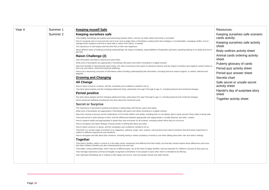<span id="page-7-0"></span>

| Year 4 | Summer 1 | <b>Keeping myself Safe</b>                                                                                                                                                                                                                    | Resources:                      |
|--------|----------|-----------------------------------------------------------------------------------------------------------------------------------------------------------------------------------------------------------------------------------------------|---------------------------------|
|        | Summer 2 | Keeping ourselves safe                                                                                                                                                                                                                        | Keeping ourselves safe scenario |
|        |          | That healthy friendships are positive and welcoming towards others, and do not make others feel lonely or excluded.                                                                                                                           | cards activity                  |
|        |          | How to recognise who to trust and who not to trust, how to judge when a friendship is making them feel unhappy or uncomfortable, managing conflict, how to<br>manage these situations and how to seek help or advice from others, if needed.  | Keeping ourselves safe activity |
|        |          | The importance of self-respect and how this links to their own happiness.                                                                                                                                                                     | sheet                           |
|        |          | About different types of bullying (including cyberbullying), the impact of bullying, responsibilities of bystanders (primarily reporting bullying to an adult) and how to<br>get help.                                                        | Body outlines activity sheet    |
|        |          | <b>Raisin Challenge (2)</b>                                                                                                                                                                                                                   | Animal cards ordering activity  |
|        |          | How information and data is shared and used online                                                                                                                                                                                            | sheet                           |
|        |          | What sorts of boundaries are appropriate in friendships with peers and others (including in a digital context)                                                                                                                                | Puberty glossary of cards       |
|        |          | About the benefits of rationing time spent online, the risks of excessive time spent on electronic devices and the impact of positive and negative content online on<br>their own and others' mental and physical wellbeing.                  | Period quiz activity sheet      |
|        |          | How to be a discerning consumer of information online including understanding that information, including that from search engines, is ranked, selected and<br>targeted.                                                                      | Period quiz answer sheet        |
|        |          | <b>Growing and Changing</b>                                                                                                                                                                                                                   | Secrets chart                   |
|        |          | <b>All Change</b>                                                                                                                                                                                                                             | Safe secret or unsafe secret    |
|        |          | How to report concerns or abuse, and the vocabulary and confidence needed to do so.                                                                                                                                                           | activity sheet                  |
|        |          | Key facts about puberty and the changing adolescent body, particularly from age 9 through to age 11, including physical and emotional changes.                                                                                                | Harold's day of surprises story |
|        |          | <b>Period positive</b>                                                                                                                                                                                                                        | sheet                           |
|        |          | Key facts about puberty and the changing adolescent body, particularly from age 9 through to age 11, including physical and emotional changes.                                                                                                | Together activity sheet         |
|        |          | About menstrual wellbeing including the key facts about the menstrual cycle.                                                                                                                                                                  |                                 |
|        |          | <b>Secret or Surprise</b>                                                                                                                                                                                                                     |                                 |
|        |          | The importance of permission-seeking and giving in relationships with friends, peers and adults.                                                                                                                                              |                                 |
|        |          | What sorts of boundaries are appropriate in friendships with peers and others (including in a digital context).                                                                                                                               |                                 |
|        |          | About the concept of privacy and the implications of it for both children and adults; including that it is not always right to keep secrets if they relate to being safe.                                                                     |                                 |
|        |          | That each person's body belongs to them, and the differences between appropriate and inappropriate or unsafe physical, and other, contact.                                                                                                    |                                 |
|        |          | How to respond safely and appropriately to adults they may encounter (in all contexts, including online) whom they do not know.                                                                                                               |                                 |
|        |          | How to recognise and report feelings of being unsafe or feeling bad about any adult.<br>How to report concerns or abuse, and the vocabulary and confidence needed to do so.                                                                   |                                 |
|        |          | That there is a normal range of emotions (e.g. happiness, sadness, anger, fear, surprise, nervousness) and scale of emotions that all humans experience in<br>relation to different experiences and situations.                               |                                 |
|        |          | How to recognise and talk about their emotions, including having a varied vocabulary of words to use when talking about their own and others' feelings.                                                                                       |                                 |
|        |          | <b>Together</b>                                                                                                                                                                                                                               |                                 |
|        |          | That others' families, either in school or in the wider world, sometimes look different from their family, but that they should respect those differences and know<br>that other children's families are also characterised by love and care. |                                 |
|        |          | That stable, caring relationships, which may be of different types, are at the heart of happy families, and are important for children's security as they grow up.                                                                            |                                 |
|        |          | That marriage represents a formal and legally recognised commitment of two people to each other which is intended to be lifelong.                                                                                                             |                                 |
|        |          | How important friendships are in making us feel happy and secure, and how people choose and make friends.                                                                                                                                     |                                 |
|        |          |                                                                                                                                                                                                                                               |                                 |
|        |          |                                                                                                                                                                                                                                               |                                 |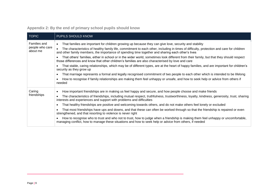| <b>TOPIC</b>                | PUPILS SHOULD KNOW                                                                                                                                                                                                                            |
|-----------------------------|-----------------------------------------------------------------------------------------------------------------------------------------------------------------------------------------------------------------------------------------------|
| Families and                | That families are important for children growing up because they can give love, security and stability<br>$\bullet$                                                                                                                           |
| people who care<br>about me | The characteristics of healthy family life, commitment to each other, including in times of difficulty, protection and care for children<br>and other family members, the importance of spending time together and sharing each other's lives |
|                             | That others' families, either in school or in the wider world, sometimes look different from their family, but that they should respect<br>those differences and know that other children's families are also characterised by love and care  |
|                             | That stable, caring relationships, which may be of different types, are at the heart of happy families, and are important for children's<br>security as they grow up                                                                          |
|                             | That marriage represents a formal and legally recognised commitment of two people to each other which is intended to be lifelong<br>٠                                                                                                         |
|                             | How to recognise if family relationships are making them feel unhappy or unsafe, and how to seek help or advice from others if<br>needed                                                                                                      |
| Caring                      | How important friendships are in making us feel happy and secure, and how people choose and make friends<br>٠                                                                                                                                 |
| friendships                 | The characteristics of friendships, including mutual respect, truthfulness, trustworthiness, loyalty, kindness, generosity, trust, sharing<br>interests and experiences and support with problems and difficulties                            |
|                             | That healthy friendships are positive and welcoming towards others, and do not make others feel lonely or excluded<br>٠                                                                                                                       |
|                             | That most friendships have ups and downs, and that these can often be worked through so that the friendship is repaired or even<br>strengthened, and that resorting to violence is never right                                                |
|                             | How to recognise who to trust and who not to trust, how to judge when a friendship is making them feel unhappy or uncomfortable,<br>managing conflict, how to manage these situations and how to seek help or advice from others, if needed   |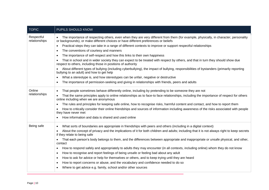| <b>TOPIC</b>                | PUPILS SHOULD KNOW                                                                                                                                                                                                          |
|-----------------------------|-----------------------------------------------------------------------------------------------------------------------------------------------------------------------------------------------------------------------------|
| Respectful<br>relationships | The importance of respecting others, even when they are very different from them (for example, physically, in character, personality<br>or backgrounds), or make different choices or have different preferences or beliefs |
|                             | Practical steps they can take in a range of different contexts to improve or support respectful relationships<br>$\bullet$                                                                                                  |
|                             | The conventions of courtesy and manners<br>$\bullet$                                                                                                                                                                        |
|                             | The importance of self-respect and how this links to their own happiness<br>$\bullet$                                                                                                                                       |
|                             | That in school and in wider society they can expect to be treated with respect by others, and that in turn they should show due<br>respect to others, including those in positions of authority                             |
|                             | About different types of bullying (including cyberbullying), the impact of bullying, responsibilities of bystanders (primarily reporting<br>bullying to an adult) and how to get help                                       |
|                             | What a stereotype is, and how stereotypes can be unfair, negative or destructive<br>$\bullet$                                                                                                                               |
|                             | The importance of permission-seeking and giving in relationships with friends, peers and adults                                                                                                                             |
| Online                      | That people sometimes behave differently online, including by pretending to be someone they are not                                                                                                                         |
| relationships               | That the same principles apply to online relationships as to face-to face relationships, including the importance of respect for others<br>online including when we are anonymous                                           |
|                             | The rules and principles for keeping safe online, how to recognise risks, harmful content and contact, and how to report them                                                                                               |
|                             | How to critically consider their online friendships and sources of information including awareness of the risks associated with people<br>they have never met                                                               |
|                             | How information and data is shared and used online                                                                                                                                                                          |
| Being safe                  | What sorts of boundaries are appropriate in friendships with peers and others (including in a digital context)<br>$\bullet$                                                                                                 |
|                             | About the concept of privacy and the implications of it for both children and adults; including that it is not always right to keep secrets<br>$\bullet$<br>if they relate to being safe                                    |
|                             | That each person's body belongs to them, and the differences between appropriate and inappropriate or unsafe physical, and other,<br>$\bullet$<br>contact                                                                   |
|                             | How to respond safely and appropriately to adults they may encounter (in all contexts, including online) whom they do not know<br>$\bullet$                                                                                 |
|                             | How to recognise and report feelings of being unsafe or feeling bad about any adult<br>$\bullet$                                                                                                                            |
|                             | How to ask for advice or help for themselves or others, and to keep trying until they are heard<br>$\bullet$                                                                                                                |
|                             | How to report concerns or abuse, and the vocabulary and confidence needed to do so<br>$\bullet$                                                                                                                             |
|                             | Where to get advice e.g. family, school and/or other sources                                                                                                                                                                |